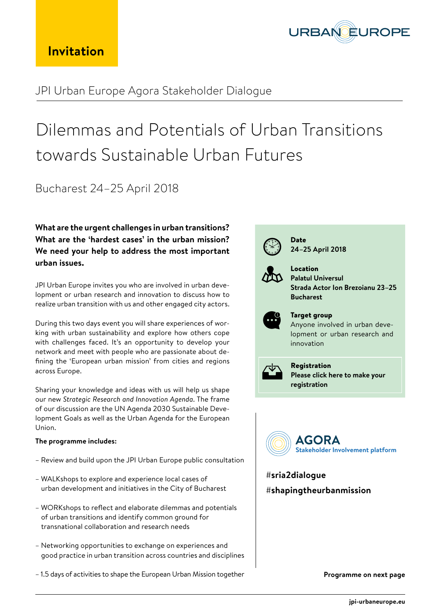

### JPI Urban Europe Agora Stakeholder Dialogue

# Dilemmas and Potentials of Urban Transitions towards Sustainable Urban Futures

#### Bucharest 24–25 April 2018

**What are the urgent challenges in urban transitions? What are the 'hardest cases' in the urban mission? We need your help to address the most important urban issues.**

JPI Urban Europe invites you who are involved in urban development or urban research and innovation to discuss how to realize urban transition with us and other engaged city actors.

During this two days event you will share experiences of working with urban sustainability and explore how others cope with challenges faced. It's an opportunity to develop your network and meet with people who are passionate about defining the 'European urban mission' from cities and regions across Europe.

Sharing your knowledge and ideas with us will help us shape our new *Strategic Research and Innovation Agenda*. The frame of our discussion are the UN Agenda 2030 Sustainable Development Goals as well as the Urban Agenda for the European Union.

#### **The programme includes:**

- Review and build upon the JPI Urban Europe public consultation
- WALKshops to explore and experience local cases of urban development and initiatives in the City of Bucharest
- WORKshops to reflect and elaborate dilemmas and potentials of urban transitions and identify common ground for transnational collaboration and research needs
- Networking opportunities to exchange on experiences and good practice in urban transition across countries and disciplines
- 1.5 days of activities to shape the European Urban Mission together



#### $\#$ shapingtheurbanmission

**Programme on next page**